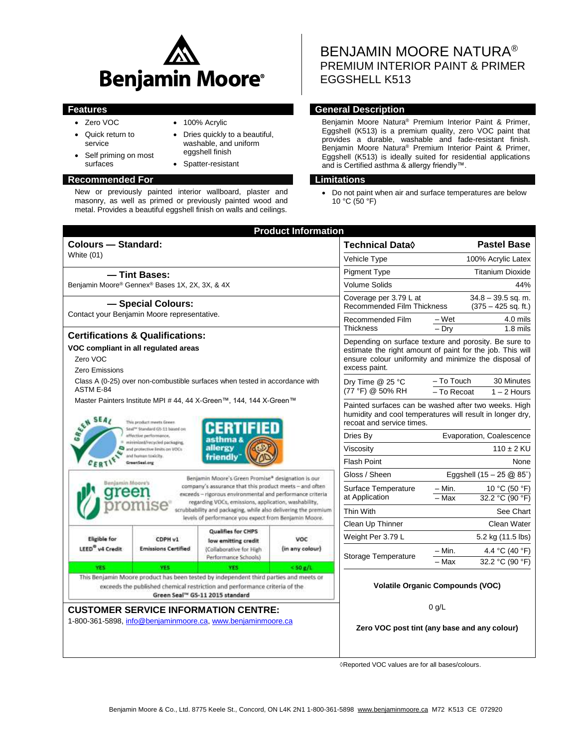

- Zero VOC
- 100% Acrylic

 Dries quickly to a beautiful, washable, and uniform eggshell finish • Spatter-resistant

- Quick return to service
- Self priming on most surfaces

### **Recommended For Limitations**

New or previously painted interior wallboard, plaster and masonry, as well as primed or previously painted wood and metal. Provides a beautiful eggshell finish on walls and ceilings.

BENJAMIN MOORE NATURA® PREMIUM INTERIOR PAINT & PRIMER EGGSHELL K513

# **Features General Description**

Benjamin Moore Natura® Premium Interior Paint & Primer, Eggshell (K513) is a premium quality, zero VOC paint that provides a durable, washable and fade-resistant finish. Benjamin Moore Natura® Premium Interior Paint & Primer, Eggshell (K513) is ideally suited for residential applications and is Certified asthma & allergy friendly™.

Do not paint when air and surface temperatures are below 10 °C (50 °F)

|                                                                                                                                                                                                                                                                                                                                                                                                                                                                                                                                                                                                                                                                                                                    |                                       |                                                                                                     | <b>Product Information</b>    |                                                                                                                                                                                              |                                                          |
|--------------------------------------------------------------------------------------------------------------------------------------------------------------------------------------------------------------------------------------------------------------------------------------------------------------------------------------------------------------------------------------------------------------------------------------------------------------------------------------------------------------------------------------------------------------------------------------------------------------------------------------------------------------------------------------------------------------------|---------------------------------------|-----------------------------------------------------------------------------------------------------|-------------------------------|----------------------------------------------------------------------------------------------------------------------------------------------------------------------------------------------|----------------------------------------------------------|
| <b>Colours - Standard:</b>                                                                                                                                                                                                                                                                                                                                                                                                                                                                                                                                                                                                                                                                                         |                                       |                                                                                                     | <b>Technical Data</b> ♦       | <b>Pastel Base</b>                                                                                                                                                                           |                                                          |
| <b>White (01)</b>                                                                                                                                                                                                                                                                                                                                                                                                                                                                                                                                                                                                                                                                                                  |                                       |                                                                                                     |                               | Vehicle Type                                                                                                                                                                                 | 100% Acrylic Latex                                       |
| - Tint Bases:                                                                                                                                                                                                                                                                                                                                                                                                                                                                                                                                                                                                                                                                                                      |                                       |                                                                                                     |                               | <b>Pigment Type</b>                                                                                                                                                                          | <b>Titanium Dioxide</b>                                  |
| Benjamin Moore® Gennex® Bases 1X, 2X, 3X, & 4X                                                                                                                                                                                                                                                                                                                                                                                                                                                                                                                                                                                                                                                                     |                                       |                                                                                                     |                               | <b>Volume Solids</b>                                                                                                                                                                         | 44%                                                      |
| - Special Colours:<br>Contact your Benjamin Moore representative.                                                                                                                                                                                                                                                                                                                                                                                                                                                                                                                                                                                                                                                  |                                       |                                                                                                     |                               | Coverage per 3.79 L at<br><b>Recommended Film Thickness</b>                                                                                                                                  | $34.8 - 39.5$ sq. m.<br>$(375 - 425$ sq. ft.)            |
|                                                                                                                                                                                                                                                                                                                                                                                                                                                                                                                                                                                                                                                                                                                    |                                       |                                                                                                     |                               | Recommended Film                                                                                                                                                                             | – Wet<br>4.0 mils                                        |
| <b>Certifications &amp; Qualifications:</b>                                                                                                                                                                                                                                                                                                                                                                                                                                                                                                                                                                                                                                                                        |                                       |                                                                                                     |                               | Thickness                                                                                                                                                                                    | $-$ Drv<br>$1.8$ mils                                    |
| VOC compliant in all regulated areas<br>Zero VOC<br>Zero Emissions                                                                                                                                                                                                                                                                                                                                                                                                                                                                                                                                                                                                                                                 |                                       |                                                                                                     |                               | Depending on surface texture and porosity. Be sure to<br>estimate the right amount of paint for the job. This will<br>ensure colour uniformity and minimize the disposal of<br>excess paint. |                                                          |
| Class A (0-25) over non-combustible surfaces when tested in accordance with<br>ASTM E-84                                                                                                                                                                                                                                                                                                                                                                                                                                                                                                                                                                                                                           |                                       |                                                                                                     |                               | Dry Time @ 25 °C<br>(77 °F) @ 50% RH                                                                                                                                                         | – To Touch<br>30 Minutes<br>- To Recoat<br>$1 - 2$ Hours |
| Master Painters Institute MPI # 44, 44 X-Green™, 144, 144 X-Green™<br>SEN SEAL<br>This product meets Green.<br>remier<br>Seal <sup>ty</sup> Standard G5-11 based on<br>effective performance.<br>minimized/recycled packaging.<br>allergy<br>and protective limits on VOCs<br>and human toxicity.<br>friendly<br>GreenSeal.org<br>Benjamin Moore's Green Promise* designation is our<br>Benlamin Moore'<br>company's assurance that this product meets - and often<br>exceeds - rigorous environmental and performance criteria<br>regarding VOCs, emissions, application, washability,<br>scrubbability and packaging, while also delivering the premium<br>levels of performance you expect from Benjamin Moore. |                                       |                                                                                                     |                               | Painted surfaces can be washed after two weeks. High<br>humidity and cool temperatures will result in longer dry.<br>recoat and service times.                                               |                                                          |
|                                                                                                                                                                                                                                                                                                                                                                                                                                                                                                                                                                                                                                                                                                                    |                                       |                                                                                                     |                               | Dries By                                                                                                                                                                                     | Evaporation, Coalescence                                 |
|                                                                                                                                                                                                                                                                                                                                                                                                                                                                                                                                                                                                                                                                                                                    |                                       |                                                                                                     |                               | Viscosity                                                                                                                                                                                    | $110 \pm 2$ KU                                           |
|                                                                                                                                                                                                                                                                                                                                                                                                                                                                                                                                                                                                                                                                                                                    |                                       |                                                                                                     |                               | <b>Flash Point</b>                                                                                                                                                                           | None                                                     |
|                                                                                                                                                                                                                                                                                                                                                                                                                                                                                                                                                                                                                                                                                                                    |                                       |                                                                                                     |                               | Gloss / Sheen                                                                                                                                                                                | Eggshell (15 - 25 @ 85°)                                 |
|                                                                                                                                                                                                                                                                                                                                                                                                                                                                                                                                                                                                                                                                                                                    |                                       |                                                                                                     |                               | Surface Temperature<br>at Application                                                                                                                                                        | – Min.<br>10 °C (50 °F)<br>32.2 °C (90 °F)<br>- Max      |
|                                                                                                                                                                                                                                                                                                                                                                                                                                                                                                                                                                                                                                                                                                                    |                                       |                                                                                                     |                               | Thin With                                                                                                                                                                                    | See Chart                                                |
|                                                                                                                                                                                                                                                                                                                                                                                                                                                                                                                                                                                                                                                                                                                    |                                       |                                                                                                     |                               | Clean Up Thinner                                                                                                                                                                             | Clean Water                                              |
| <b>Eligible for</b><br>LEED <sup>®</sup> v4 Credit                                                                                                                                                                                                                                                                                                                                                                                                                                                                                                                                                                                                                                                                 | CDPH v1<br><b>Emissions Certified</b> | <b>Qualifies for CHPS</b><br>low emitting credit<br>(Collaborative for High<br>Performance Schools) | <b>VOC</b><br>(in any colour) | Weight Per 3.79 L                                                                                                                                                                            | 5.2 kg (11.5 lbs)                                        |
|                                                                                                                                                                                                                                                                                                                                                                                                                                                                                                                                                                                                                                                                                                                    |                                       |                                                                                                     |                               | Storage Temperature                                                                                                                                                                          | – Min.<br>4.4 °C (40 °F)<br>32.2 °C (90 °F)<br>Max       |
| <b>YES</b>                                                                                                                                                                                                                                                                                                                                                                                                                                                                                                                                                                                                                                                                                                         | <b>YES</b>                            | YES.                                                                                                | $<$ 50 $e/1$                  |                                                                                                                                                                                              |                                                          |
| This Benjamin Moore product has been tested by independent third parties and meets or<br>exceeds the published chemical restriction and performance criteria of the<br>Green Seal <sup>16</sup> GS-11 2015 standard                                                                                                                                                                                                                                                                                                                                                                                                                                                                                                |                                       |                                                                                                     |                               | <b>Volatile Organic Compounds (VOC)</b>                                                                                                                                                      |                                                          |
| <b>CUSTOMER SERVICE INFORMATION CENTRE:</b><br>1-800-361-5898, info@benjaminmoore.ca, www.benjaminmoore.ca                                                                                                                                                                                                                                                                                                                                                                                                                                                                                                                                                                                                         |                                       |                                                                                                     |                               | $0$ g/L<br>Zero VOC post tint (any base and any colour)                                                                                                                                      |                                                          |

◊Reported VOC values are for all bases/colours.